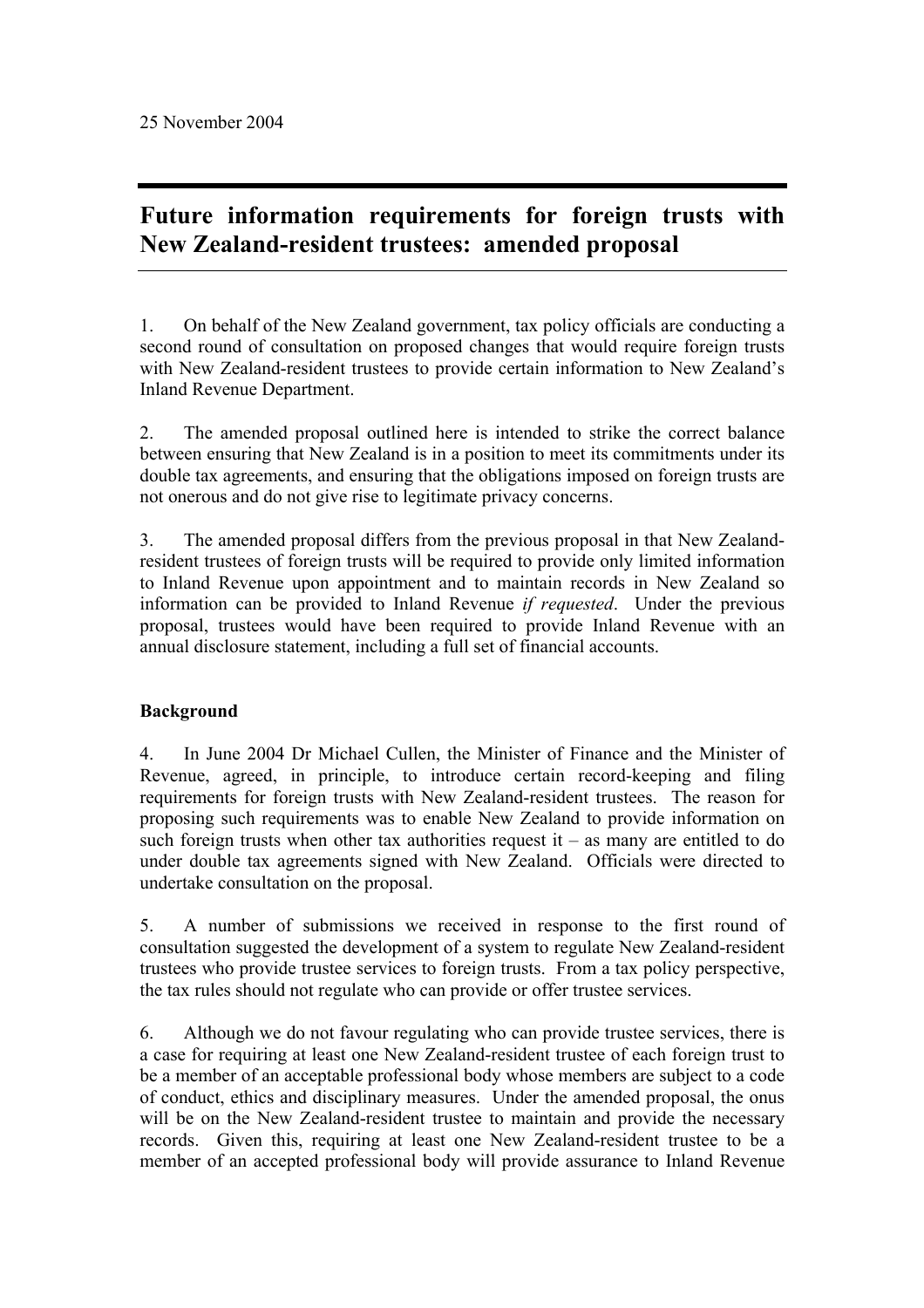# **Future information requirements for foreign trusts with New Zealand-resident trustees: amended proposal**

1. On behalf of the New Zealand government, tax policy officials are conducting a second round of consultation on proposed changes that would require foreign trusts with New Zealand-resident trustees to provide certain information to New Zealand's Inland Revenue Department.

2. The amended proposal outlined here is intended to strike the correct balance between ensuring that New Zealand is in a position to meet its commitments under its double tax agreements, and ensuring that the obligations imposed on foreign trusts are not onerous and do not give rise to legitimate privacy concerns.

3. The amended proposal differs from the previous proposal in that New Zealandresident trustees of foreign trusts will be required to provide only limited information to Inland Revenue upon appointment and to maintain records in New Zealand so information can be provided to Inland Revenue *if requested*. Under the previous proposal, trustees would have been required to provide Inland Revenue with an annual disclosure statement, including a full set of financial accounts.

# **Background**

4. In June 2004 Dr Michael Cullen, the Minister of Finance and the Minister of Revenue, agreed, in principle, to introduce certain record-keeping and filing requirements for foreign trusts with New Zealand-resident trustees. The reason for proposing such requirements was to enable New Zealand to provide information on such foreign trusts when other tax authorities request it – as many are entitled to do under double tax agreements signed with New Zealand. Officials were directed to undertake consultation on the proposal.

5. A number of submissions we received in response to the first round of consultation suggested the development of a system to regulate New Zealand-resident trustees who provide trustee services to foreign trusts. From a tax policy perspective, the tax rules should not regulate who can provide or offer trustee services.

6. Although we do not favour regulating who can provide trustee services, there is a case for requiring at least one New Zealand-resident trustee of each foreign trust to be a member of an acceptable professional body whose members are subject to a code of conduct, ethics and disciplinary measures. Under the amended proposal, the onus will be on the New Zealand-resident trustee to maintain and provide the necessary records. Given this, requiring at least one New Zealand-resident trustee to be a member of an accepted professional body will provide assurance to Inland Revenue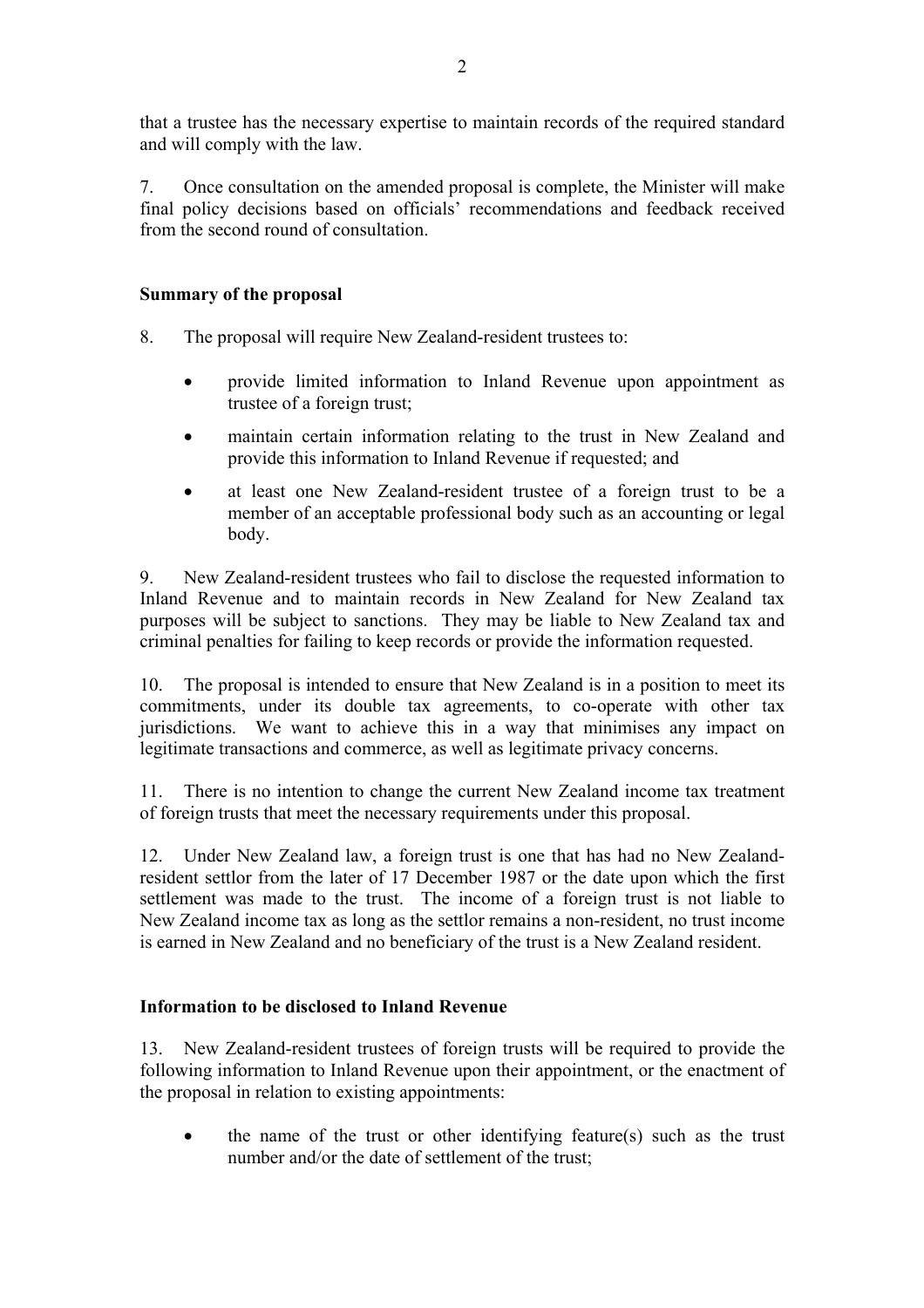that a trustee has the necessary expertise to maintain records of the required standard and will comply with the law.

7. Once consultation on the amended proposal is complete, the Minister will make final policy decisions based on officials' recommendations and feedback received from the second round of consultation.

#### **Summary of the proposal**

8. The proposal will require New Zealand-resident trustees to:

- provide limited information to Inland Revenue upon appointment as trustee of a foreign trust;
- maintain certain information relating to the trust in New Zealand and provide this information to Inland Revenue if requested; and
- at least one New Zealand-resident trustee of a foreign trust to be a member of an acceptable professional body such as an accounting or legal body.

9. New Zealand-resident trustees who fail to disclose the requested information to Inland Revenue and to maintain records in New Zealand for New Zealand tax purposes will be subject to sanctions. They may be liable to New Zealand tax and criminal penalties for failing to keep records or provide the information requested.

10. The proposal is intended to ensure that New Zealand is in a position to meet its commitments, under its double tax agreements, to co-operate with other tax jurisdictions. We want to achieve this in a way that minimises any impact on legitimate transactions and commerce, as well as legitimate privacy concerns.

11. There is no intention to change the current New Zealand income tax treatment of foreign trusts that meet the necessary requirements under this proposal.

12. Under New Zealand law, a foreign trust is one that has had no New Zealandresident settlor from the later of 17 December 1987 or the date upon which the first settlement was made to the trust. The income of a foreign trust is not liable to New Zealand income tax as long as the settlor remains a non-resident, no trust income is earned in New Zealand and no beneficiary of the trust is a New Zealand resident.

#### **Information to be disclosed to Inland Revenue**

13. New Zealand-resident trustees of foreign trusts will be required to provide the following information to Inland Revenue upon their appointment, or the enactment of the proposal in relation to existing appointments:

• the name of the trust or other identifying feature(s) such as the trust number and/or the date of settlement of the trust;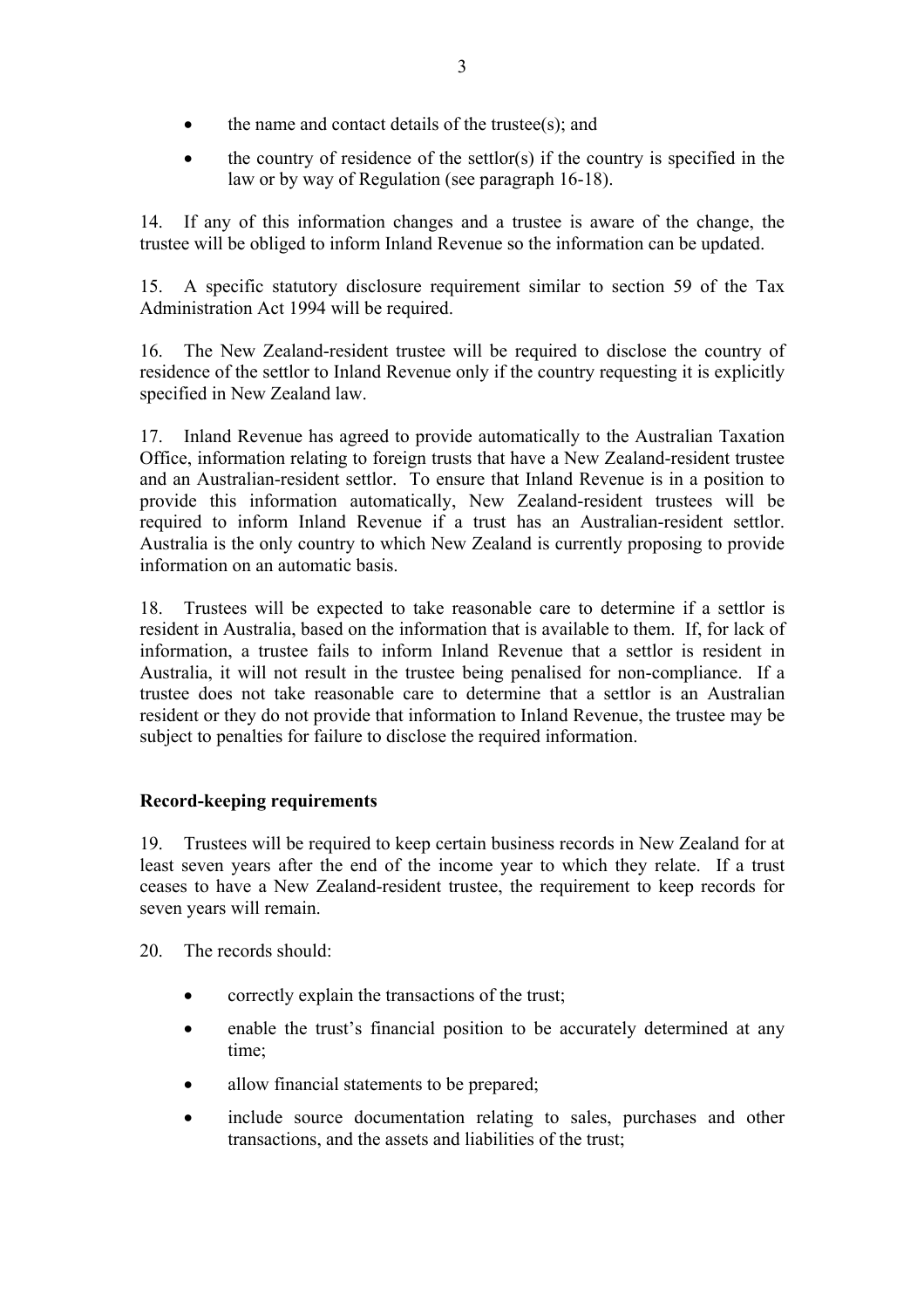- the name and contact details of the trustee(s); and
- $\bullet$  the country of residence of the settlor(s) if the country is specified in the law or by way of Regulation (see paragraph 16-18).

14. If any of this information changes and a trustee is aware of the change, the trustee will be obliged to inform Inland Revenue so the information can be updated.

15. A specific statutory disclosure requirement similar to section 59 of the Tax Administration Act 1994 will be required.

16. The New Zealand-resident trustee will be required to disclose the country of residence of the settlor to Inland Revenue only if the country requesting it is explicitly specified in New Zealand law.

17. Inland Revenue has agreed to provide automatically to the Australian Taxation Office, information relating to foreign trusts that have a New Zealand-resident trustee and an Australian-resident settlor. To ensure that Inland Revenue is in a position to provide this information automatically, New Zealand-resident trustees will be required to inform Inland Revenue if a trust has an Australian-resident settlor. Australia is the only country to which New Zealand is currently proposing to provide information on an automatic basis.

18. Trustees will be expected to take reasonable care to determine if a settlor is resident in Australia, based on the information that is available to them. If, for lack of information, a trustee fails to inform Inland Revenue that a settlor is resident in Australia, it will not result in the trustee being penalised for non-compliance. If a trustee does not take reasonable care to determine that a settlor is an Australian resident or they do not provide that information to Inland Revenue, the trustee may be subject to penalties for failure to disclose the required information.

## **Record-keeping requirements**

19. Trustees will be required to keep certain business records in New Zealand for at least seven years after the end of the income year to which they relate. If a trust ceases to have a New Zealand-resident trustee, the requirement to keep records for seven years will remain.

20. The records should:

- correctly explain the transactions of the trust;
- enable the trust's financial position to be accurately determined at any time;
- allow financial statements to be prepared;
- include source documentation relating to sales, purchases and other transactions, and the assets and liabilities of the trust;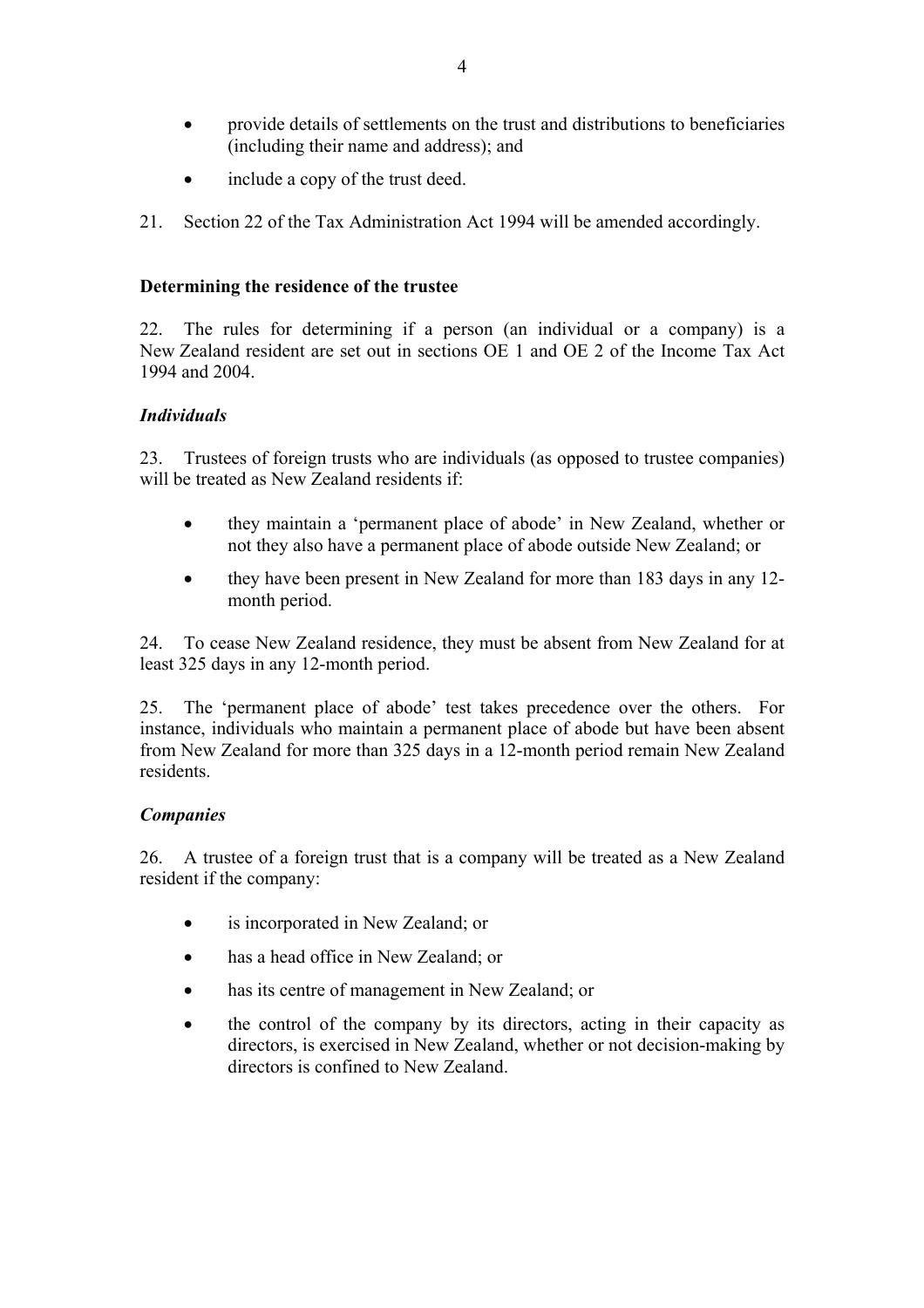- provide details of settlements on the trust and distributions to beneficiaries (including their name and address); and
- include a copy of the trust deed.
- 21. Section 22 of the Tax Administration Act 1994 will be amended accordingly.

#### **Determining the residence of the trustee**

22. The rules for determining if a person (an individual or a company) is a New Zealand resident are set out in sections OE 1 and OE 2 of the Income Tax Act 1994 and 2004.

#### *Individuals*

23. Trustees of foreign trusts who are individuals (as opposed to trustee companies) will be treated as New Zealand residents if:

- they maintain a 'permanent place of abode' in New Zealand, whether or not they also have a permanent place of abode outside New Zealand; or
- they have been present in New Zealand for more than 183 days in any 12 month period.

24. To cease New Zealand residence, they must be absent from New Zealand for at least 325 days in any 12-month period.

25. The 'permanent place of abode' test takes precedence over the others. For instance, individuals who maintain a permanent place of abode but have been absent from New Zealand for more than 325 days in a 12-month period remain New Zealand residents.

#### *Companies*

26. A trustee of a foreign trust that is a company will be treated as a New Zealand resident if the company:

- is incorporated in New Zealand; or
- has a head office in New Zealand; or
- has its centre of management in New Zealand; or
- the control of the company by its directors, acting in their capacity as directors, is exercised in New Zealand, whether or not decision-making by directors is confined to New Zealand.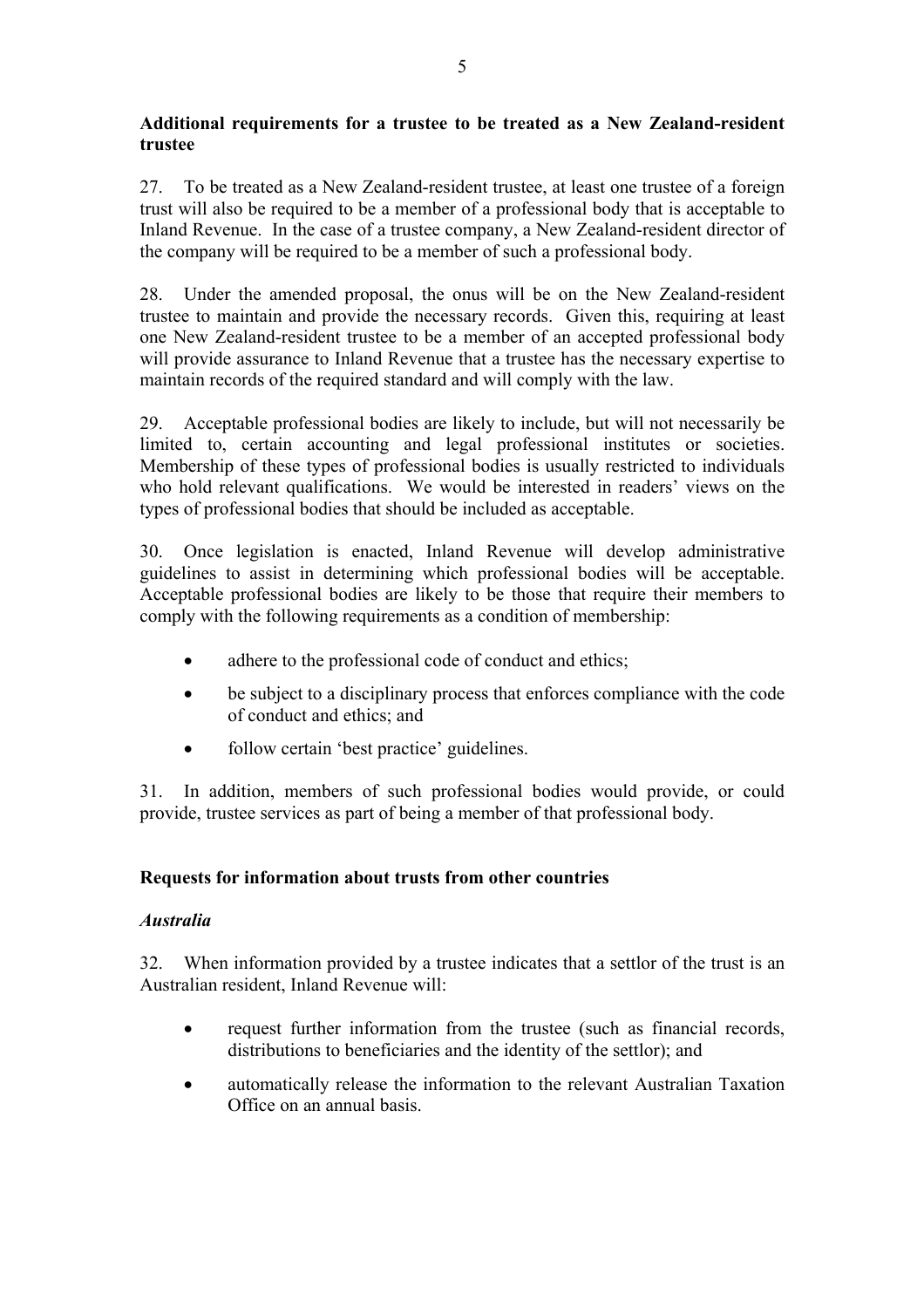## **Additional requirements for a trustee to be treated as a New Zealand-resident trustee**

27. To be treated as a New Zealand-resident trustee, at least one trustee of a foreign trust will also be required to be a member of a professional body that is acceptable to Inland Revenue. In the case of a trustee company, a New Zealand-resident director of the company will be required to be a member of such a professional body.

28. Under the amended proposal, the onus will be on the New Zealand-resident trustee to maintain and provide the necessary records. Given this, requiring at least one New Zealand-resident trustee to be a member of an accepted professional body will provide assurance to Inland Revenue that a trustee has the necessary expertise to maintain records of the required standard and will comply with the law.

29. Acceptable professional bodies are likely to include, but will not necessarily be limited to, certain accounting and legal professional institutes or societies. Membership of these types of professional bodies is usually restricted to individuals who hold relevant qualifications. We would be interested in readers' views on the types of professional bodies that should be included as acceptable.

30. Once legislation is enacted, Inland Revenue will develop administrative guidelines to assist in determining which professional bodies will be acceptable. Acceptable professional bodies are likely to be those that require their members to comply with the following requirements as a condition of membership:

- adhere to the professional code of conduct and ethics;
- be subject to a disciplinary process that enforces compliance with the code of conduct and ethics; and
- follow certain 'best practice' guidelines.

31. In addition, members of such professional bodies would provide, or could provide, trustee services as part of being a member of that professional body.

## **Requests for information about trusts from other countries**

## *Australia*

32. When information provided by a trustee indicates that a settlor of the trust is an Australian resident, Inland Revenue will:

- request further information from the trustee (such as financial records, distributions to beneficiaries and the identity of the settlor); and
- automatically release the information to the relevant Australian Taxation Office on an annual basis.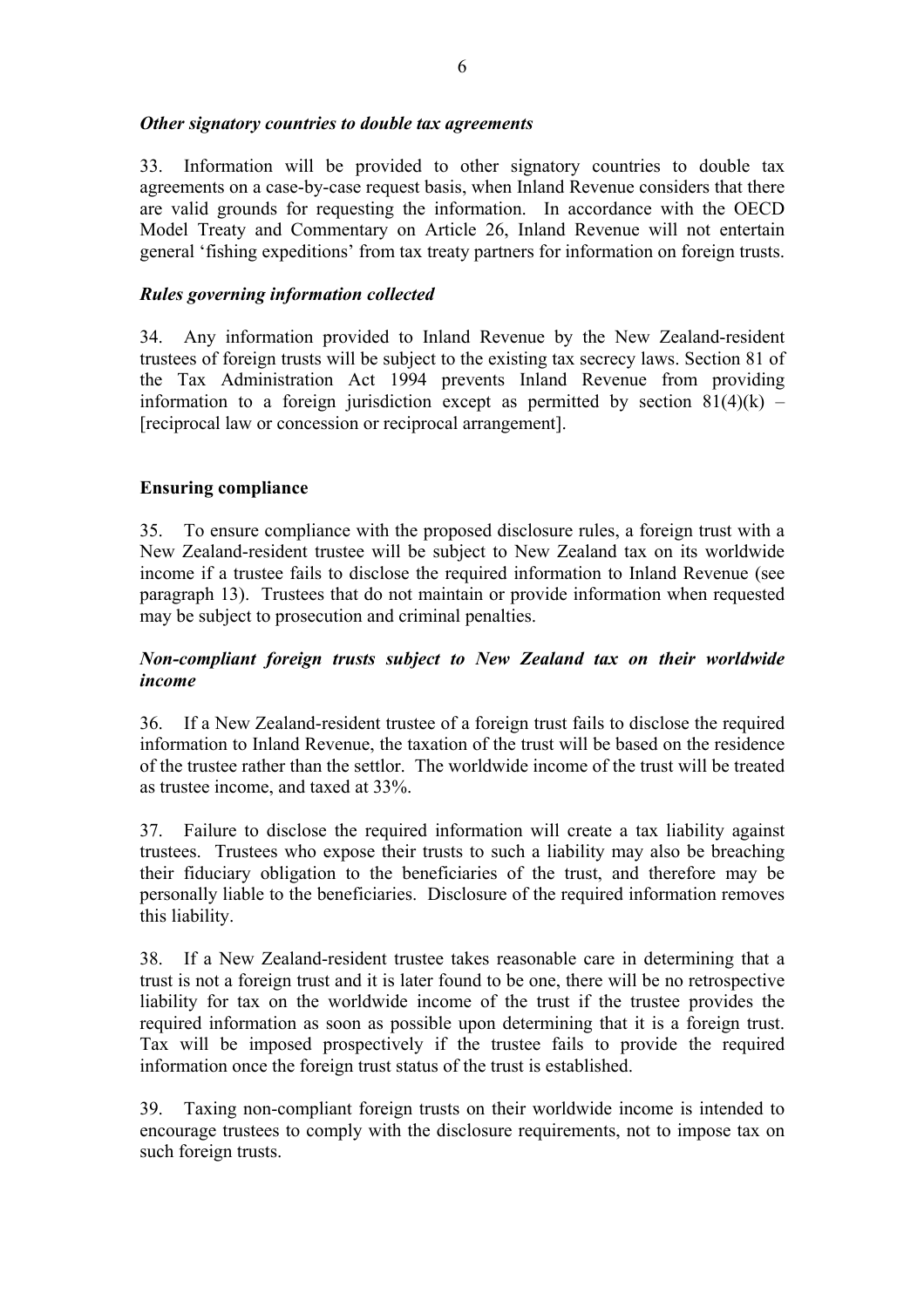#### *Other signatory countries to double tax agreements*

33. Information will be provided to other signatory countries to double tax agreements on a case-by-case request basis, when Inland Revenue considers that there are valid grounds for requesting the information. In accordance with the OECD Model Treaty and Commentary on Article 26, Inland Revenue will not entertain general 'fishing expeditions' from tax treaty partners for information on foreign trusts.

## *Rules governing information collected*

34. Any information provided to Inland Revenue by the New Zealand-resident trustees of foreign trusts will be subject to the existing tax secrecy laws. Section 81 of the Tax Administration Act 1994 prevents Inland Revenue from providing information to a foreign jurisdiction except as permitted by section  $81(4)(k)$  – [reciprocal law or concession or reciprocal arrangement].

## **Ensuring compliance**

35. To ensure compliance with the proposed disclosure rules, a foreign trust with a New Zealand-resident trustee will be subject to New Zealand tax on its worldwide income if a trustee fails to disclose the required information to Inland Revenue (see paragraph 13). Trustees that do not maintain or provide information when requested may be subject to prosecution and criminal penalties.

## *Non-compliant foreign trusts subject to New Zealand tax on their worldwide income*

36. If a New Zealand-resident trustee of a foreign trust fails to disclose the required information to Inland Revenue, the taxation of the trust will be based on the residence of the trustee rather than the settlor. The worldwide income of the trust will be treated as trustee income, and taxed at 33%.

37. Failure to disclose the required information will create a tax liability against trustees. Trustees who expose their trusts to such a liability may also be breaching their fiduciary obligation to the beneficiaries of the trust, and therefore may be personally liable to the beneficiaries. Disclosure of the required information removes this liability.

38. If a New Zealand-resident trustee takes reasonable care in determining that a trust is not a foreign trust and it is later found to be one, there will be no retrospective liability for tax on the worldwide income of the trust if the trustee provides the required information as soon as possible upon determining that it is a foreign trust. Tax will be imposed prospectively if the trustee fails to provide the required information once the foreign trust status of the trust is established.

39. Taxing non-compliant foreign trusts on their worldwide income is intended to encourage trustees to comply with the disclosure requirements, not to impose tax on such foreign trusts.